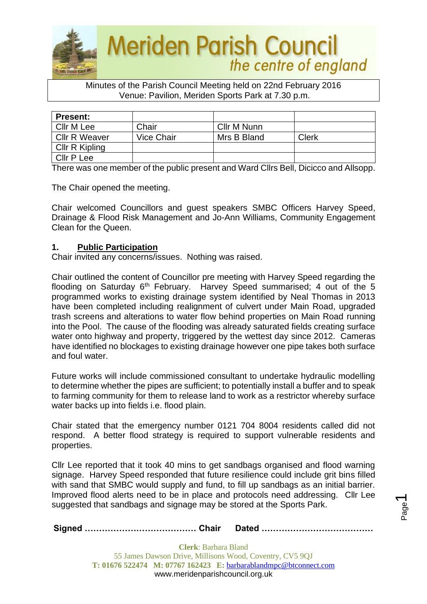

#### Minutes of the Parish Council Meeting held on 22nd February 2016 Venue: Pavilion, Meriden Sports Park at 7.30 p.m.

| <b>Present:</b>      |            |             |       |
|----------------------|------------|-------------|-------|
| Cllr M Lee           | Chair      | Cllr M Nunn |       |
| <b>CIIr R Weaver</b> | Vice Chair | Mrs B Bland | Clerk |
| Cllr R Kipling       |            |             |       |
| Cllr P Lee           |            |             |       |

There was one member of the public present and Ward Cllrs Bell, Dicicco and Allsopp.

The Chair opened the meeting.

Chair welcomed Councillors and guest speakers SMBC Officers Harvey Speed, Drainage & Flood Risk Management and Jo-Ann Williams, Community Engagement Clean for the Queen.

## **1. Public Participation**

Chair invited any concerns/issues. Nothing was raised.

Chair outlined the content of Councillor pre meeting with Harvey Speed regarding the flooding on Saturday  $6<sup>th</sup>$  February. Harvey Speed summarised; 4 out of the 5 programmed works to existing drainage system identified by Neal Thomas in 2013 have been completed including realignment of culvert under Main Road, upgraded trash screens and alterations to water flow behind properties on Main Road running into the Pool. The cause of the flooding was already saturated fields creating surface water onto highway and property, triggered by the wettest day since 2012. Cameras have identified no blockages to existing drainage however one pipe takes both surface and foul water.

Future works will include commissioned consultant to undertake hydraulic modelling to determine whether the pipes are sufficient; to potentially install a buffer and to speak to farming community for them to release land to work as a restrictor whereby surface water backs up into fields i.e. flood plain.

Chair stated that the emergency number 0121 704 8004 residents called did not respond. A better flood strategy is required to support vulnerable residents and properties.

Cllr Lee reported that it took 40 mins to get sandbags organised and flood warning signage. Harvey Speed responded that future resilience could include grit bins filled with sand that SMBC would supply and fund, to fill up sandbags as an initial barrier. Improved flood alerts need to be in place and protocols need addressing. Cllr Lee suggested that sandbags and signage may be stored at the Sports Park.

**Signed ………………………………… Chair Dated …………………………………**

Page  $\overline{\phantom{0}}$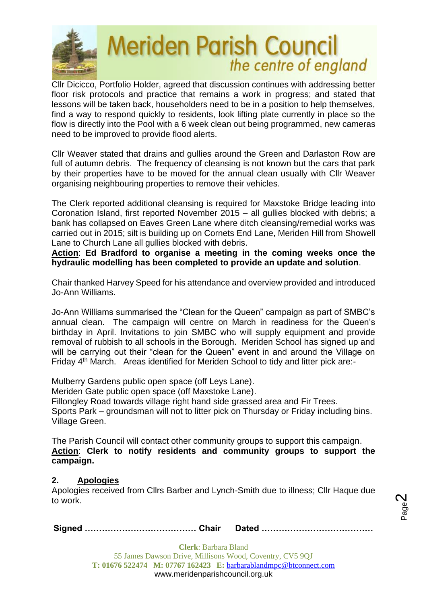

Cllr Dicicco, Portfolio Holder, agreed that discussion continues with addressing better floor risk protocols and practice that remains a work in progress; and stated that lessons will be taken back, householders need to be in a position to help themselves, find a way to respond quickly to residents, look lifting plate currently in place so the flow is directly into the Pool with a 6 week clean out being programmed, new cameras need to be improved to provide flood alerts.

Cllr Weaver stated that drains and gullies around the Green and Darlaston Row are full of autumn debris. The frequency of cleansing is not known but the cars that park by their properties have to be moved for the annual clean usually with Cllr Weaver organising neighbouring properties to remove their vehicles.

The Clerk reported additional cleansing is required for Maxstoke Bridge leading into Coronation Island, first reported November 2015 – all gullies blocked with debris; a bank has collapsed on Eaves Green Lane where ditch cleansing/remedial works was carried out in 2015; silt is building up on Cornets End Lane, Meriden Hill from Showell Lane to Church Lane all gullies blocked with debris.

**Action**: **Ed Bradford to organise a meeting in the coming weeks once the hydraulic modelling has been completed to provide an update and solution**.

Chair thanked Harvey Speed for his attendance and overview provided and introduced Jo-Ann Williams.

Jo-Ann Williams summarised the "Clean for the Queen" campaign as part of SMBC's annual clean. The campaign will centre on March in readiness for the Queen's birthday in April. Invitations to join SMBC who will supply equipment and provide removal of rubbish to all schools in the Borough. Meriden School has signed up and will be carrying out their "clean for the Queen" event in and around the Village on Friday 4th March. Areas identified for Meriden School to tidy and litter pick are:-

Mulberry Gardens public open space (off Leys Lane).

Meriden Gate public open space (off Maxstoke Lane).

Fillongley Road towards village right hand side grassed area and Fir Trees. Sports Park – groundsman will not to litter pick on Thursday or Friday including bins.

Village Green.

The Parish Council will contact other community groups to support this campaign. **Action**: **Clerk to notify residents and community groups to support the campaign.**

## **2. Apologies**

Apologies received from Cllrs Barber and Lynch-Smith due to illness; Cllr Haque due to work.

|--|--|--|

Page  $\boldsymbol{\sim}$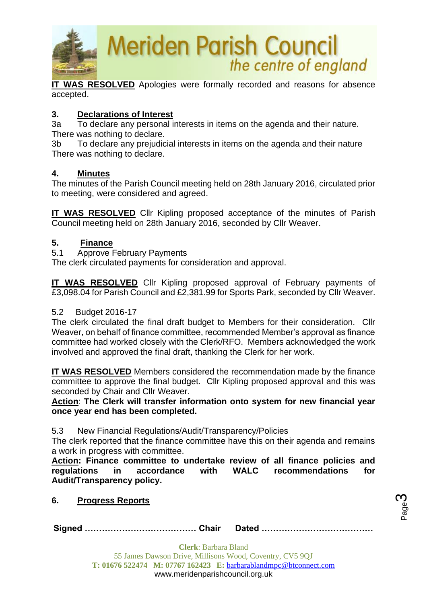

**IT WAS RESOLVED** Apologies were formally recorded and reasons for absence accepted.

## **3. Declarations of Interest**

3a To declare any personal interests in items on the agenda and their nature. There was nothing to declare.

3b To declare any prejudicial interests in items on the agenda and their nature There was nothing to declare.

## **4. Minutes**

The minutes of the Parish Council meeting held on 28th January 2016, circulated prior to meeting, were considered and agreed.

**IT WAS RESOLVED** Cllr Kipling proposed acceptance of the minutes of Parish Council meeting held on 28th January 2016, seconded by Cllr Weaver.

## **5. Finance**

5.1 Approve February Payments

The clerk circulated payments for consideration and approval.

**IT WAS RESOLVED** Cllr Kipling proposed approval of February payments of £3,098.04 for Parish Council and £2,381.99 for Sports Park, seconded by Cllr Weaver.

## 5.2 Budget 2016-17

The clerk circulated the final draft budget to Members for their consideration. Cllr Weaver, on behalf of finance committee, recommended Member's approval as finance committee had worked closely with the Clerk/RFO. Members acknowledged the work involved and approved the final draft, thanking the Clerk for her work.

**IT WAS RESOLVED** Members considered the recommendation made by the finance committee to approve the final budget. Cllr Kipling proposed approval and this was seconded by Chair and Cllr Weaver.

**Action**: **The Clerk will transfer information onto system for new financial year once year end has been completed.**

5.3 New Financial Regulations/Audit/Transparency/Policies

The clerk reported that the finance committee have this on their agenda and remains a work in progress with committee.

**Action: Finance committee to undertake review of all finance policies and regulations in accordance with WALC recommendations for Audit/Transparency policy.**

**6. Progress Reports**

**Signed ………………………………… Chair Dated …………………………………**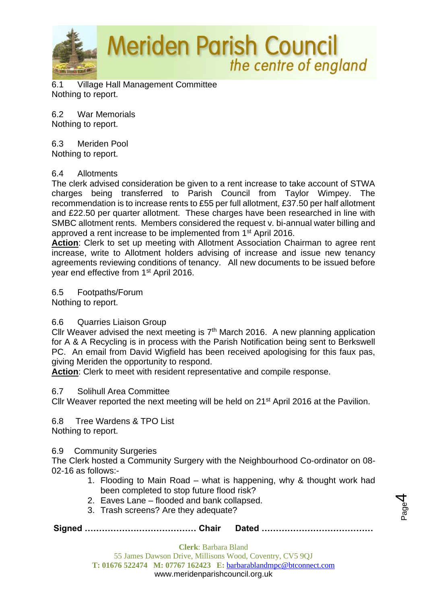

6.1 Village Hall Management Committee Nothing to report.

6.2 War Memorials Nothing to report.

6.3 Meriden Pool

Nothing to report.

#### 6.4 Allotments

The clerk advised consideration be given to a rent increase to take account of STWA charges being transferred to Parish Council from Taylor Wimpey. The recommendation is to increase rents to £55 per full allotment, £37.50 per half allotment and £22.50 per quarter allotment. These charges have been researched in line with SMBC allotment rents. Members considered the request v. bi-annual water billing and approved a rent increase to be implemented from 1<sup>st</sup> April 2016.

**Action**: Clerk to set up meeting with Allotment Association Chairman to agree rent increase, write to Allotment holders advising of increase and issue new tenancy agreements reviewing conditions of tenancy. All new documents to be issued before year end effective from 1st April 2016.

6.5 Footpaths/Forum

Nothing to report.

## 6.6 Quarries Liaison Group

Cllr Weaver advised the next meeting is  $7<sup>th</sup>$  March 2016. A new planning application for A & A Recycling is in process with the Parish Notification being sent to Berkswell PC. An email from David Wigfield has been received apologising for this faux pas, giving Meriden the opportunity to respond.

**Action**: Clerk to meet with resident representative and compile response.

## 6.7 Solihull Area Committee

Cllr Weaver reported the next meeting will be held on 21<sup>st</sup> April 2016 at the Pavilion.

6.8 Tree Wardens & TPO List Nothing to report.

## 6.9 Community Surgeries

The Clerk hosted a Community Surgery with the Neighbourhood Co-ordinator on 08- 02-16 as follows:-

- 1. Flooding to Main Road what is happening, why & thought work had been completed to stop future flood risk?
- 2. Eaves Lane flooded and bank collapsed.
- 3. Trash screens? Are they adequate?

**Signed ………………………………… Chair Dated …………………………………**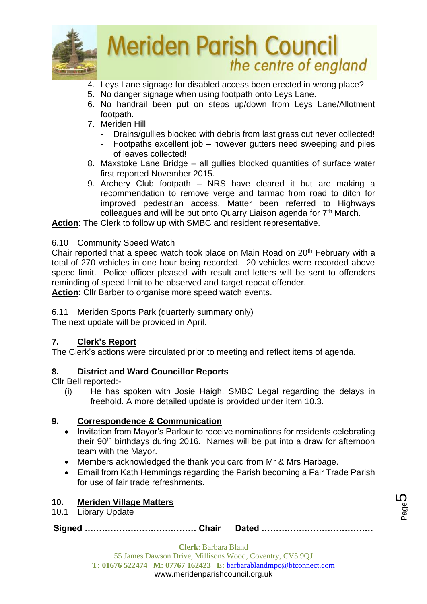

- 4. Leys Lane signage for disabled access been erected in wrong place?
- 5. No danger signage when using footpath onto Leys Lane.
- 6. No handrail been put on steps up/down from Leys Lane/Allotment footpath.
- 7. Meriden Hill
	- Drains/gullies blocked with debris from last grass cut never collected!
	- Footpaths excellent job however gutters need sweeping and piles of leaves collected!
- 8. Maxstoke Lane Bridge all gullies blocked quantities of surface water first reported November 2015.
- 9. Archery Club footpath NRS have cleared it but are making a recommendation to remove verge and tarmac from road to ditch for improved pedestrian access. Matter been referred to Highways colleagues and will be put onto Quarry Liaison agenda for  $7<sup>th</sup>$  March.

**Action**: The Clerk to follow up with SMBC and resident representative.

## 6.10 Community Speed Watch

Chair reported that a speed watch took place on Main Road on 20<sup>th</sup> February with a total of 270 vehicles in one hour being recorded. 20 vehicles were recorded above speed limit. Police officer pleased with result and letters will be sent to offenders reminding of speed limit to be observed and target repeat offender.

**Action**: Cllr Barber to organise more speed watch events.

6.11 Meriden Sports Park (quarterly summary only)

The next update will be provided in April.

## **7. Clerk's Report**

The Clerk's actions were circulated prior to meeting and reflect items of agenda.

## **8. District and Ward Councillor Reports**

Cllr Bell reported:-

(i) He has spoken with Josie Haigh, SMBC Legal regarding the delays in freehold. A more detailed update is provided under item 10.3.

## **9. Correspondence & Communication**

- Invitation from Mayor's Parlour to receive nominations for residents celebrating their 90<sup>th</sup> birthdays during 2016. Names will be put into a draw for afternoon team with the Mayor.
- Members acknowledged the thank you card from Mr & Mrs Harbage.
- Email from Kath Hemmings regarding the Parish becoming a Fair Trade Parish for use of fair trade refreshments.

## **10. Meriden Village Matters**

10.1 Library Update

**Signed ………………………………… Chair Dated …………………………………**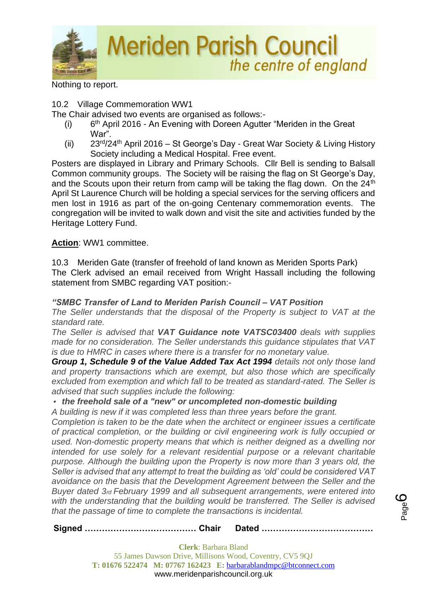

Nothing to report.

## 10.2 Village Commemoration WW1

The Chair advised two events are organised as follows:-

- $(i)$ 6<sup>th</sup> April 2016 - An Evening with Doreen Agutter "Meriden in the Great War".
- (ii)  $23^{rd}/24^{th}$  April 2016 St George's Day Great War Society & Living History Society including a Medical Hospital. Free event.

Posters are displayed in Library and Primary Schools. Cllr Bell is sending to Balsall Common community groups. The Society will be raising the flag on St George's Day, and the Scouts upon their return from camp will be taking the flag down. On the 24<sup>th</sup> April St Laurence Church will be holding a special services for the serving officers and men lost in 1916 as part of the on-going Centenary commemoration events. The congregation will be invited to walk down and visit the site and activities funded by the Heritage Lottery Fund.

## **Action**: WW1 committee.

10.3 Meriden Gate (transfer of freehold of land known as Meriden Sports Park) The Clerk advised an email received from Wright Hassall including the following statement from SMBC regarding VAT position:-

## *"SMBC Transfer of Land to Meriden Parish Council – VAT Position*

*The Seller understands that the disposal of the Property is subject to VAT at the standard rate.*

*The Seller is advised that VAT Guidance note VATSC03400 deals with supplies made for no consideration. The Seller understands this guidance stipulates that VAT is due to HMRC in cases where there is a transfer for no monetary value.*

*Group 1, Schedule 9 of the Value Added Tax Act 1994 details not only those land and property transactions which are exempt, but also those which are specifically excluded from exemption and which fall to be treated as standard-rated. The Seller is advised that such supplies include the following:*

## *• the freehold sale of a "new" or uncompleted non-domestic building*

*A building is new if it was completed less than three years before the grant.*

*Completion is taken to be the date when the architect or engineer issues a certificate of practical completion, or the building or civil engineering work is fully occupied or used. Non-domestic property means that which is neither deigned as a dwelling nor intended for use solely for a relevant residential purpose or a relevant charitable purpose. Although the building upon the Property is now more than 3 years old, the Seller is advised that any attempt to treat the building as 'old' could be considered VAT avoidance on the basis that the Development Agreement between the Seller and the Buyer dated 3rd February 1999 and all subsequent arrangements, were entered into*  with the understanding that the building would be transferred. The Seller is advised *that the passage of time to complete the transactions is incidental.*

**Signed ………………………………… Chair Dated …………………………………**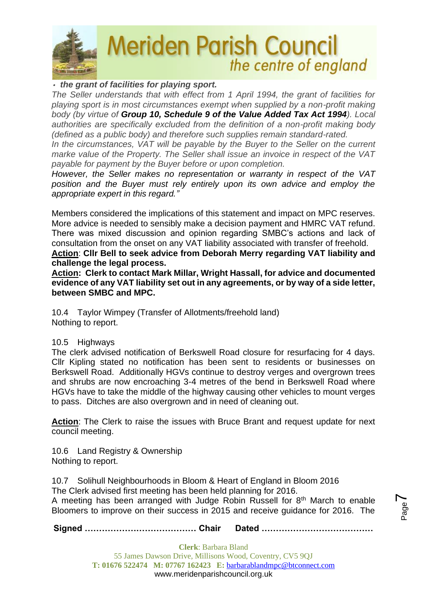

## *• the grant of facilities for playing sport.*

*The Seller understands that with effect from 1 April 1994, the grant of facilities for playing sport is in most circumstances exempt when supplied by a non-profit making body (by virtue of Group 10, Schedule 9 of the Value Added Tax Act 1994). Local authorities are specifically excluded from the definition of a non-profit making body (defined as a public body) and therefore such supplies remain standard-rated.*

*In the circumstances, VAT will be payable by the Buyer to the Seller on the current marke value of the Property. The Seller shall issue an invoice in respect of the VAT payable for payment by the Buyer before or upon completion.*

*However, the Seller makes no representation or warranty in respect of the VAT position and the Buyer must rely entirely upon its own advice and employ the appropriate expert in this regard."*

Members considered the implications of this statement and impact on MPC reserves. More advice is needed to sensibly make a decision payment and HMRC VAT refund. There was mixed discussion and opinion regarding SMBC's actions and lack of consultation from the onset on any VAT liability associated with transfer of freehold.

**Action**: **Cllr Bell to seek advice from Deborah Merry regarding VAT liability and challenge the legal process.**

**Action: Clerk to contact Mark Millar, Wright Hassall, for advice and documented evidence of any VAT liability set out in any agreements, or by way of a side letter, between SMBC and MPC.**

10.4 Taylor Wimpey (Transfer of Allotments/freehold land) Nothing to report.

## 10.5 Highways

The clerk advised notification of Berkswell Road closure for resurfacing for 4 days. Cllr Kipling stated no notification has been sent to residents or businesses on Berkswell Road. Additionally HGVs continue to destroy verges and overgrown trees and shrubs are now encroaching 3-4 metres of the bend in Berkswell Road where HGVs have to take the middle of the highway causing other vehicles to mount verges to pass. Ditches are also overgrown and in need of cleaning out.

**Action**: The Clerk to raise the issues with Bruce Brant and request update for next council meeting.

10.6 Land Registry & Ownership Nothing to report.

10.7 Solihull Neighbourhoods in Bloom & Heart of England in Bloom 2016 The Clerk advised first meeting has been held planning for 2016. A meeting has been arranged with Judge Robin Russell for  $8<sup>th</sup>$  March to enable Bloomers to improve on their success in 2015 and receive guidance for 2016. The

**Signed ………………………………… Chair Dated …………………………………**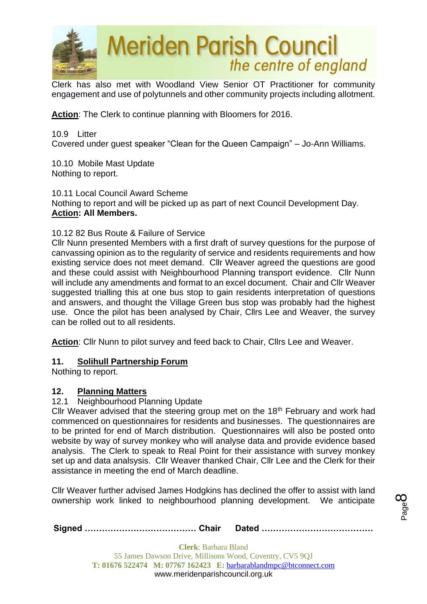

Clerk has also met with Woodland View Senior OT Practitioner for community engagement and use of polytunnels and other community projects including allotment.

**Action**: The Clerk to continue planning with Bloomers for 2016.

10.9 Litter Covered under guest speaker "Clean for the Queen Campaign" – Jo-Ann Williams.

10.10 Mobile Mast Update Nothing to report.

10.11 Local Council Award Scheme Nothing to report and will be picked up as part of next Council Development Day. **Action: All Members.**

## 10.12 82 Bus Route & Failure of Service

Cllr Nunn presented Members with a first draft of survey questions for the purpose of canvassing opinion as to the regularity of service and residents requirements and how existing service does not meet demand. Cllr Weaver agreed the questions are good and these could assist with Neighbourhood Planning transport evidence. Cllr Nunn will include any amendments and format to an excel document. Chair and Cllr Weaver suggested trialling this at one bus stop to gain residents interpretation of questions and answers, and thought the Village Green bus stop was probably had the highest use. Once the pilot has been analysed by Chair, Cllrs Lee and Weaver, the survey can be rolled out to all residents.

**Action**: Cllr Nunn to pilot survey and feed back to Chair, Cllrs Lee and Weaver.

## **11. Solihull Partnership Forum**

Nothing to report.

## **12. Planning Matters**

#### 12.1 Neighbourhood Planning Update

Cllr Weaver advised that the steering group met on the 18<sup>th</sup> February and work had commenced on questionnaires for residents and businesses. The questionnaires are to be printed for end of March distribution. Questionnaires will also be posted onto website by way of survey monkey who will analyse data and provide evidence based analysis. The Clerk to speak to Real Point for their assistance with survey monkey set up and data analsysis. Cllr Weaver thanked Chair, Cllr Lee and the Clerk for their assistance in meeting the end of March deadline.

Cllr Weaver further advised James Hodgkins has declined the offer to assist with land ownership work linked to neighbourhood planning development. We anticipate

**Signed ………………………………… Chair Dated …………………………………**

Page  $\infty$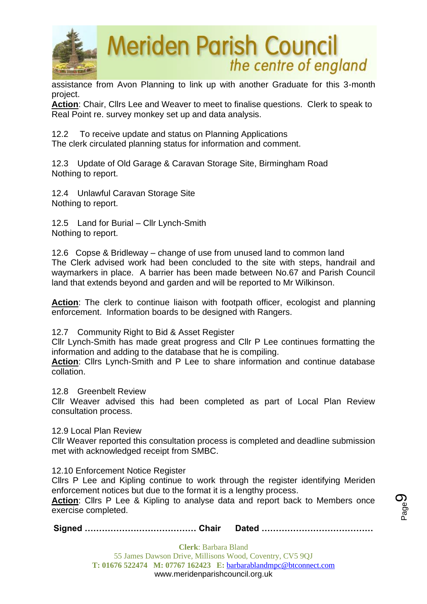

assistance from Avon Planning to link up with another Graduate for this 3-month project.

**Action**: Chair, Cllrs Lee and Weaver to meet to finalise questions. Clerk to speak to Real Point re. survey monkey set up and data analysis.

12.2 To receive update and status on Planning Applications The clerk circulated planning status for information and comment.

12.3 Update of Old Garage & Caravan Storage Site, Birmingham Road Nothing to report.

12.4 Unlawful Caravan Storage Site Nothing to report.

12.5 Land for Burial – Cllr Lynch-Smith Nothing to report.

12.6 Copse & Bridleway – change of use from unused land to common land The Clerk advised work had been concluded to the site with steps, handrail and waymarkers in place. A barrier has been made between No.67 and Parish Council land that extends beyond and garden and will be reported to Mr Wilkinson.

**Action**: The clerk to continue liaison with footpath officer, ecologist and planning enforcement. Information boards to be designed with Rangers.

12.7 Community Right to Bid & Asset Register

Cllr Lynch-Smith has made great progress and Cllr P Lee continues formatting the information and adding to the database that he is compiling.

**Action**: Cllrs Lynch-Smith and P Lee to share information and continue database collation.

12.8 Greenbelt Review

Cllr Weaver advised this had been completed as part of Local Plan Review consultation process.

12.9 Local Plan Review

Cllr Weaver reported this consultation process is completed and deadline submission met with acknowledged receipt from SMBC.

12.10 Enforcement Notice Register

Cllrs P Lee and Kipling continue to work through the register identifying Meriden enforcement notices but due to the format it is a lengthy process.

**Action**: Cllrs P Lee & Kipling to analyse data and report back to Members once exercise completed.

**Signed ………………………………… Chair Dated …………………………………**